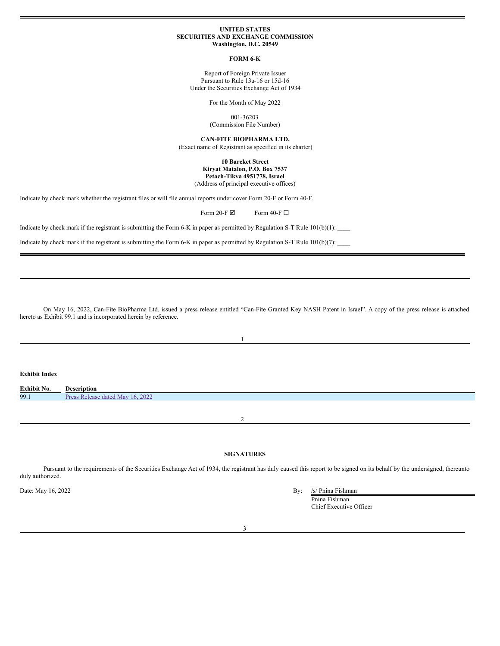#### **UNITED STATES SECURITIES AND EXCHANGE COMMISSION Washington, D.C. 20549**

#### **FORM 6-K**

Report of Foreign Private Issuer Pursuant to Rule 13a-16 or 15d-16 Under the Securities Exchange Act of 1934

For the Month of May 2022

001-36203

(Commission File Number)

**CAN-FITE BIOPHARMA LTD.**

(Exact name of Registrant as specified in its charter)

# **10 Bareket Street Kiryat Matalon, P.O. Box 7537 Petach-Tikva 4951778, Israel** (Address of principal executive offices)

Indicate by check mark whether the registrant files or will file annual reports under cover Form 20-F or Form 40-F.

Form 20-F $\boxdot$  Form 40-F $\Box$ 

Indicate by check mark if the registrant is submitting the Form 6-K in paper as permitted by Regulation S-T Rule  $101(b)(1)$ :

Indicate by check mark if the registrant is submitting the Form 6-K in paper as permitted by Regulation S-T Rule 101(b)(7):

On May 16, 2022, Can-Fite BioPharma Ltd. issued a press release entitled "Can-Fite Granted Key NASH Patent in Israel". A copy of the press release is attached hereto as Exhibit 99.1 and is incorporated herein by reference.

1

| <b>Exhibit Index</b> |                                  |
|----------------------|----------------------------------|
| Exhibit No.          | <b>Description</b>               |
| 99.1                 | Press Release dated May 16, 2022 |
|                      |                                  |
|                      | $\sim$                           |

# **SIGNATURES**

Pursuant to the requirements of the Securities Exchange Act of 1934, the registrant has duly caused this report to be signed on its behalf by the undersigned, thereunto duly authorized.

Date: May 16, 2022 By:  $\frac{1}{2}$  By:  $\frac{1}{2}$  By:  $\frac{1}{2}$  By:  $\frac{1}{2}$  By:  $\frac{1}{2}$  By:  $\frac{1}{2}$  By:  $\frac{1}{2}$  By:  $\frac{1}{2}$  By:  $\frac{1}{2}$  By:  $\frac{1}{2}$  By:  $\frac{1}{2}$  By:  $\frac{1}{2}$  By:  $\frac{1}{2}$  By:  $\frac{1}{2}$  By:  $\$ 

|--|

Pnina Fishman Chief Executive Officer